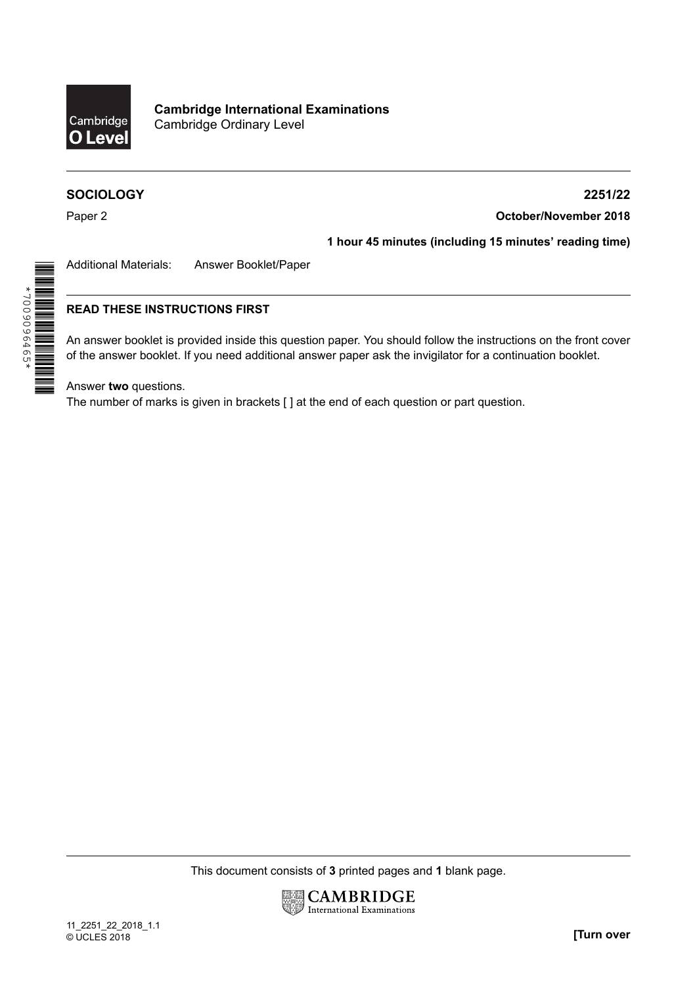

# **SOCIOLOGY**

#### **2251/22**

**October/November 2018**

Paper 2

\*7009096465\*

\*\*9\$\$9606004\*<br>||| |||| ||| ||| ||| ||| ||| ||| ||

# **1 hour 45 minutes (including 15 minutes' reading time)**

Additional Materials: Answer Booklet/Paper

## **READ THESE INSTRUCTIONS FIRST**

An answer booklet is provided inside this question paper. You should follow the instructions on the front cover of the answer booklet. If you need additional answer paper ask the invigilator for a continuation booklet.

Answer **two** questions.

The number of marks is given in brackets [ ] at the end of each question or part question.

This document consists of **3** printed pages and **1** blank page.

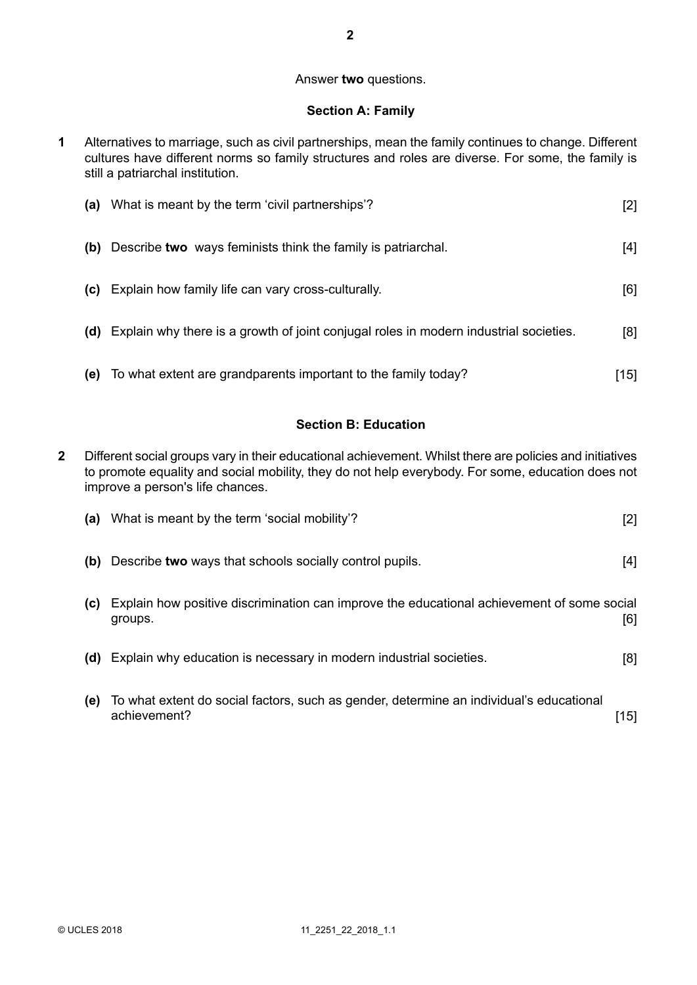#### Answer **two** questions.

#### **Section A: Family**

Alternatives to marriage, such as civil partnerships, mean the family continues to change. Different cultures have different norms so family structures and roles are diverse. For some, the family is still a patriarchal institution. **1**

| (a) | What is meant by the term 'civil partnerships'?                                       | [2] |
|-----|---------------------------------------------------------------------------------------|-----|
| (b) | Describe two ways feminists think the family is patriarchal.                          | [4] |
| (c) | Explain how family life can vary cross-culturally.                                    | [6] |
| (d) | Explain why there is a growth of joint conjugal roles in modern industrial societies. | [8] |
| (e) | To what extent are grandparents important to the family today?                        | 151 |

#### **Section B: Education**

Different social groups vary in their educational achievement. Whilst there are policies and initiatives to promote equality and social mobility, they do not help everybody. For some, education does not improve a person's life chances. **2**

| (a) | What is meant by the term 'social mobility'?                                                            | $[2]$ |
|-----|---------------------------------------------------------------------------------------------------------|-------|
| (b) | Describe two ways that schools socially control pupils.                                                 | [4]   |
| (C) | Explain how positive discrimination can improve the educational achievement of some social<br>groups.   | [6]   |
|     | (d) Explain why education is necessary in modern industrial societies.                                  | [8]   |
| (e) | To what extent do social factors, such as gender, determine an individual's educational<br>achievement? | [15]  |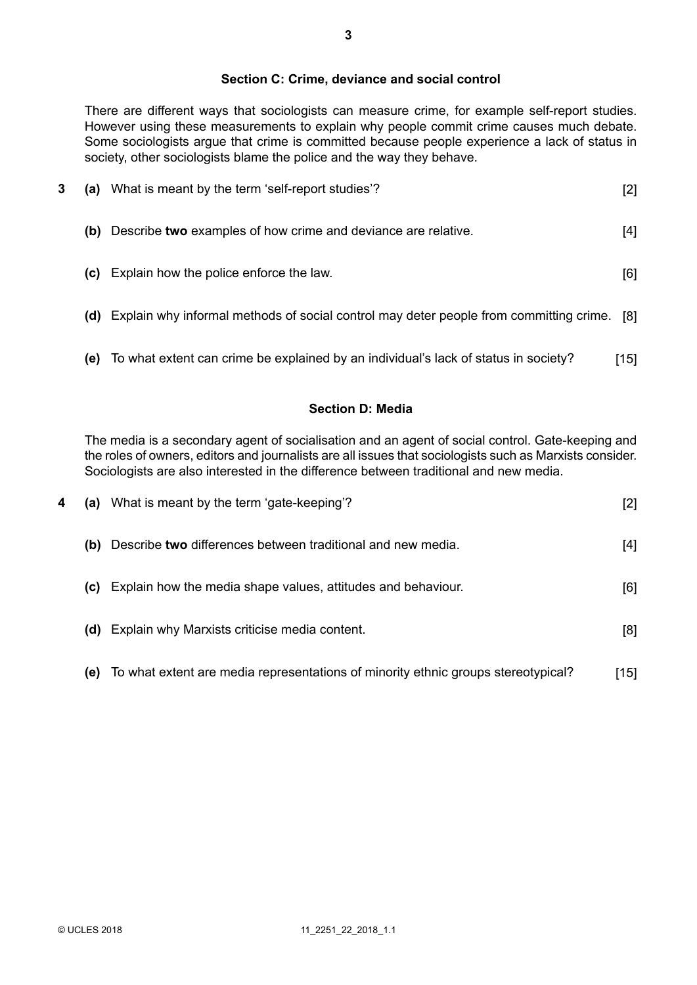## **Section C: Crime, deviance and social control**

There are different ways that sociologists can measure crime, for example self-report studies. However using these measurements to explain why people commit crime causes much debate. Some sociologists argue that crime is committed because people experience a lack of status in society, other sociologists blame the police and the way they behave.

| 3 | (a) | What is meant by the term 'self-report studies'?                                               | $[2]$ |
|---|-----|------------------------------------------------------------------------------------------------|-------|
|   |     | (b) Describe two examples of how crime and deviance are relative.                              | [4]   |
|   |     | (c) Explain how the police enforce the law.                                                    | [6]   |
|   |     | (d) Explain why informal methods of social control may deter people from committing crime. [8] |       |
|   | (e) | To what extent can crime be explained by an individual's lack of status in society?            | [15]  |

#### **Section D: Media**

The media is a secondary agent of socialisation and an agent of social control. Gate-keeping and the roles of owners, editors and journalists are all issues that sociologists such as Marxists consider. Sociologists are also interested in the difference between traditional and new media.

| 4 |     | (a) What is meant by the term 'gate-keeping'?                                     | [2]   |
|---|-----|-----------------------------------------------------------------------------------|-------|
|   | (b) | Describe two differences between traditional and new media.                       | $[4]$ |
|   |     | (c) Explain how the media shape values, attitudes and behaviour.                  | [6]   |
|   |     | (d) Explain why Marxists criticise media content.                                 | [8]   |
|   | (e) | To what extent are media representations of minority ethnic groups stereotypical? | [15]  |